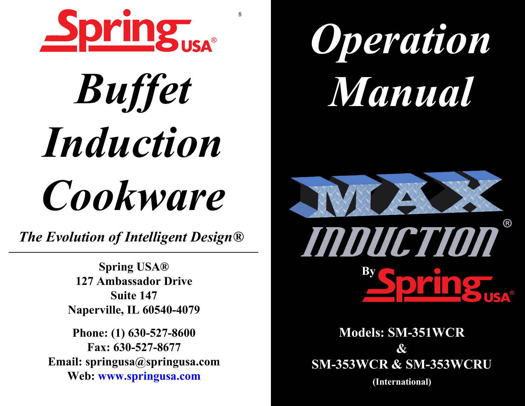

8

# *Buffet InductionCookware*

*The Evolution of Intelligent Design®*

**Spring USA® 127 Ambassador DriveSuite 147Naperville, IL 60540-4079**

**Phone: (1) 630-527-8600Fax: 630-527-8677 Email: springusa@springusa.comWeb: www.springusa.com**





**Models: SM-351WCR & SM-353WCR & SM-353WCRU (International)**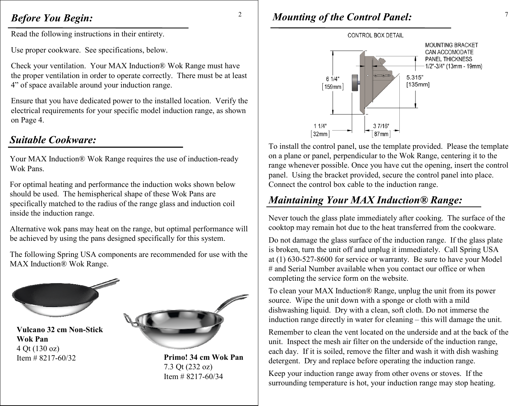## *Before You Begin:*

Read the following instructions in their entirety.

Use proper cookware. See specifications, below.

Check your ventilation. Your MAX Induction® Wok Range must have the proper ventilation in order to operate correctly. There must be at least 4" of space available around your induction range.

Ensure that you have dedicated power to the installed location. Verify the electrical requirements for your specific model induction range, as shown on Page 4.

# *Suitable Cookware:*

Your MAX Induction® Wok Range requires the use of induction-ready Wok Pans.

For optimal heating and performance the induction woks shown below should be used. The hemispherical shape of these Wok Pans are specifically matched to the radius of the range glass and induction coil inside the induction range.

Alternative wok pans may heat on the range, but optimal performance will be achieved by using the pans designed specifically for this system.

The following Spring USA components are recommended for use with the MAX Induction® Wok Range.



**Vulcano 32 cm Non-Stick Wok Pan** 4 Qt (130 oz) Item # 8217-60/32



 **Primo! 34 cm Wok Pan** 7.3 Qt (232 oz) Item  $\#$  8217-60/34

# <sup>2</sup> Mounting of the Control Panel:

2



To install the control panel, use the template provided. Please the template on a plane or panel, perpendicular to the Wok Range, centering it to the range whenever possible. Once you have cut the opening, insert the control panel. Using the bracket provided, secure the control panel into place. Connect the control box cable to the induction range.

# *Maintaining Your MAX Induction® Range:*

Never touch the glass plate immediately after cooking. The surface of the cooktop may remain hot due to the heat transferred from the cookware.

Do not damage the glass surface of the induction range. If the glass plate is broken, turn the unit off and unplug it immediately. Call Spring USA at (1) 630-527-8600 for service or warranty. Be sure to have your Model # and Serial Number available when you contact our office or when completing the service form on the website.

To clean your MAX Induction® Range, unplug the unit from its power source. Wipe the unit down with a sponge or cloth with a mild dishwashing liquid. Dry with a clean, soft cloth. Do not immerse the induction range directly in water for cleaning – this will damage the unit.

Remember to clean the vent located on the underside and at the back of the unit. Inspect the mesh air filter on the underside of the induction range, each day. If it is soiled, remove the filter and wash it with dish washing detergent. Dry and replace before operating the induction range.

Keep your induction range away from other ovens or stoves. If the surrounding temperature is hot, your induction range may stop heating.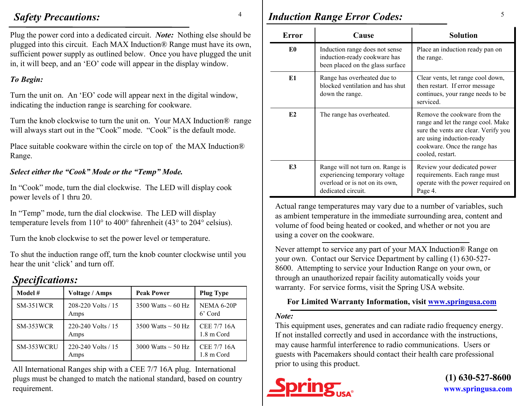## *Safety Precautions:*

4

Plug the power cord into a dedicated circuit. *Note:* Nothing else should be <sup>p</sup>lugged into this circuit. Each MAX Induction® Range must have its own, sufficient power supply as outlined below. Once you have plugged the unit in, it will beep, and an 'EO' code will appear in the display window.

## *To Begin:*

Turn the unit on. An 'EO' code will appear next in the digital window, indicating the induction range is searching for cookware.

Turn the knob clockwise to turn the unit on. Your MAX Induction® range will always start out in the "Cook" mode. "Cook" is the default mode.

Place suitable cookware within the circle on top of the MAX Induction®Range.

### *Select either the "Cook" Mode or the "Temp" Mode.*

In "Cook" mode, turn the dial clockwise. The LED will display cook power levels of 1 thru 20.

In "Temp" mode, turn the dial clockwise. The LED will display temperature levels from 110° to 400° fahrenheit (43° to 204° celsius).

Turn the knob clockwise to set the power level or temperature.

To shut the induction range off, turn the knob counter clockwise until you hear the unit 'click' and turn off.

# *Specifications:*

| Model #    | <b>Voltage / Amps</b>      | <b>Peak Power</b>       | <b>Plug Type</b>          |
|------------|----------------------------|-------------------------|---------------------------|
| SM-351WCR  | 208-220 Volts / 15<br>Amps | 3500 Watts $\sim$ 60 Hz | NEMA 6-20P<br>6' Cord     |
| SM-353WCR  | 220-240 Volts / 15<br>Amps | 3500 Watts $\sim$ 50 Hz | CEE 7/7 16A<br>1.8 m Cord |
| SM-353WCRU | 220-240 Volts / 15<br>Amps | 3000 Watts $\sim$ 50 Hz | CEE 7/7 16A<br>1.8 m Cord |

All International Ranges ship with a CEE 7/7 16A plug. International plugs must be changed to match the national standard, based on country requirement.

# <sup>4</sup> *Induction Range Error Codes:* 5

| Error          | Cause                                                                                                                      | <b>Solution</b>                                                                                                                                                                             |
|----------------|----------------------------------------------------------------------------------------------------------------------------|---------------------------------------------------------------------------------------------------------------------------------------------------------------------------------------------|
| E0             | Induction range does not sense<br>induction-ready cookware has<br>been placed on the glass surface                         | Place an induction ready pan on<br>the range.                                                                                                                                               |
| E1             | Range has overheated due to<br>blocked ventilation and has shut<br>down the range.                                         | Clear vents, let range cool down,<br>then restart. If error message<br>continues, your range needs to be<br>serviced.                                                                       |
| E2             | The range has overheated.                                                                                                  | Remove the cookware from the<br>range and let the range cool. Make<br>sure the vents are clear. Verify you<br>are using induction-ready<br>cookware. Once the range has<br>cooled, restart. |
| E <sub>3</sub> | Range will not turn on. Range is<br>experiencing temporary voltage<br>overload or is not on its own,<br>dedicated circuit. | Review your dedicated power<br>requirements. Each range must<br>operate with the power required on<br>Page 4.                                                                               |

Actual range temperatures may vary due to a number of variables, such as ambient temperature in the immediate surrounding area, content and volume of food being heated or cooked, and whether or not you are using a cover on the cookware.

Never attempt to service any part of your MAX Induction® Range on your own. Contact our Service Department by calling (1) 630-527- 8600. Attempting to service your Induction Range on your own, or through an unauthorized repair facility automatically voids yourwarranty. For service forms, visit the Spring USA website.

### **For Limited Warranty Information, visit www.springusa.com**

#### *Note:*

 This equipment uses, generates and can radiate radio frequency energy. If not installed correctly and used in accordance with the instructions, may cause harmful interference to radio communications. Users or guests with Pacemakers should contact their health care professional prior to using this product.



**www.springusa.com (1) 630-527-8600**